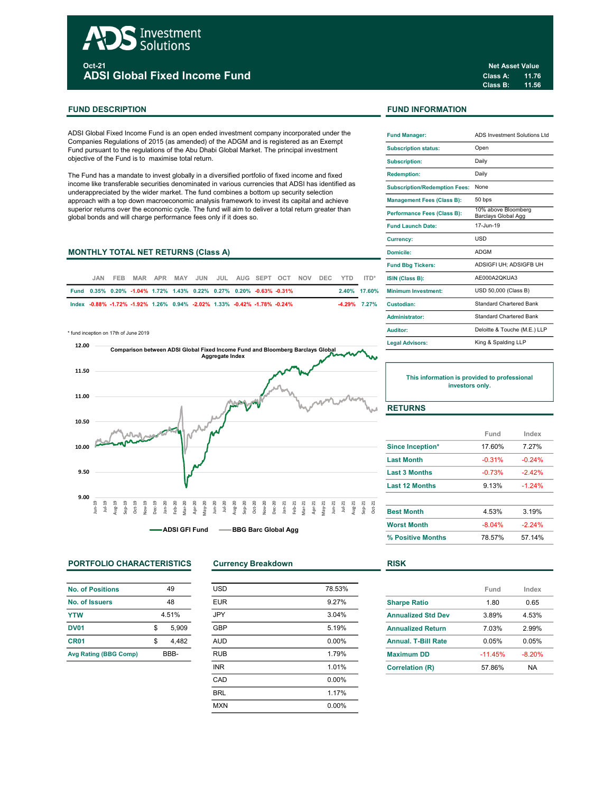# Investment Solutions <sub>oct-21</sub><br>ADSI Global Fixed Income Fund

# FUND DESCRIPTION **FUND INFORMATION**

ADSI Global Fixed Income Fund is an open ended investment company incorporated under the Companies Regulations of 2015 (as amended) of the ADGM and is registered as an Exempt Fund pursuant to the regulations of the Abu Dhabi Global Market. The principal investment objective of the Fund is to maximise total return.

The Fund has a mandate to invest globally in a diversified portfolio of fixed income and fixed income like transferable securities denominated in various currencies that ADSI has identified as underappreciated by the wider market. The fund combines a bottom up security selection approach with a top down macroeconomic analysis framework to invest its capital and achieve superior returns over the economic cycle. The fund will aim to deliver a total return greater than global bonds and will charge performance fees only if it does so.

# MONTHLY TOTAL NET RETURNS (Class A)

| .IAN | FEB MAR APR MAY JUN JUL AUG SEPT OCT NOV DEC YTD ITD*                    |  |  |  |  |  | <b>ISIN (Class B):</b>           |
|------|--------------------------------------------------------------------------|--|--|--|--|--|----------------------------------|
|      | Fund 0.35% 0.20% -1.04% 1.72% 1.43% 0.22% 0.27% 0.20% -0.63% -0.31%      |  |  |  |  |  | 2.40% 17.60% Minimum Investment: |
|      | lndex -0.88% -1.72% -1.92% 1.26% 0.94% -2.02% 1.33% -0.42% -1.78% -0.24% |  |  |  |  |  | -4.29% 7.27% Custodian:          |

\* fund inception on 17th of June 2019



# PORTFOLIO CHARACTERISTICS Currency Breakdown RISK

| No. of Positions             | 49          |
|------------------------------|-------------|
| No. of Issuers               | 48          |
| <b>YTW</b>                   | 4.51%       |
| <b>DV01</b>                  | \$<br>5,909 |
| CR <sub>01</sub>             | \$<br>4.482 |
| <b>Avg Rating (BBG Comp)</b> | BBB-        |

| <b>USD</b> | 78.53%   |
|------------|----------|
| <b>EUR</b> | 9.27%    |
| <b>JPY</b> | 3.04%    |
| <b>GBP</b> | 5.19%    |
| <b>AUD</b> | $0.00\%$ |
| <b>RUB</b> | 1.79%    |
| <b>INR</b> | 1.01%    |
| CAD        | 0.00%    |
| <b>BRL</b> | 1.17%    |
| <b>MXN</b> | 0.00%    |
|            |          |

Class A: 11.76 Class B: 11.56 Net Asset Value

| <b>Fund Manager:</b>                 | ADS Investment Solutions Ltd               |
|--------------------------------------|--------------------------------------------|
| <b>Subscription status:</b>          | Open                                       |
| <b>Subscription:</b>                 | Daily                                      |
| <b>Redemption:</b>                   | Daily                                      |
| <b>Subscription/Redemption Fees:</b> | None                                       |
| <b>Management Fees (Class B):</b>    | 50 bps                                     |
| Performance Fees (Class B):          | 10% above Bloomberg<br>Barclays Global Agg |
| <b>Fund Launch Date:</b>             | 17-Jun-19                                  |
| <b>Currency:</b>                     | <b>USD</b>                                 |
| Domicile:                            | <b>ADGM</b>                                |
| <b>Fund Bbg Tickers:</b>             | ADSIGFI UH: ADSIGFB UH                     |
| ISIN (Class B):                      | AE000A2QKUA3                               |
| Minimum Investment:                  | USD 50,000 (Class B)                       |
| Custodian:                           | Standard Chartered Bank                    |
| Administrator:                       | <b>Standard Chartered Bank</b>             |
| Auditor:                             | Deloitte & Touche (M.E.) LLP               |
| <b>Legal Advisors:</b>               | King & Spalding LLP                        |

This information is provided to professional investors only.

# **RETURNS**

|                       | Fund     | Index    |
|-----------------------|----------|----------|
| Since Inception*      | 17.60%   | 7.27%    |
| <b>Last Month</b>     | $-0.31%$ | $-0.24%$ |
| <b>Last 3 Months</b>  | $-0.73%$ | $-242%$  |
| <b>Last 12 Months</b> | 9.13%    | $-1.24%$ |
| <b>Best Month</b>     | 4.53%    | 3.19%    |
| <b>Worst Month</b>    | $-8.04%$ | $-2.24%$ |
| % Positive Months     | 78.57%   | 57.14%   |

|                            | Fund      | Index    |
|----------------------------|-----------|----------|
| <b>Sharpe Ratio</b>        | 1.80      | 0.65     |
| <b>Annualized Std Dev</b>  | 3.89%     | 4.53%    |
| <b>Annualized Return</b>   | 7.03%     | 2.99%    |
| <b>Annual, T-Bill Rate</b> | 0.05%     | 0.05%    |
| <b>Maximum DD</b>          | $-11.45%$ | $-8.20%$ |
| <b>Correlation (R)</b>     | 57.86%    | NA       |